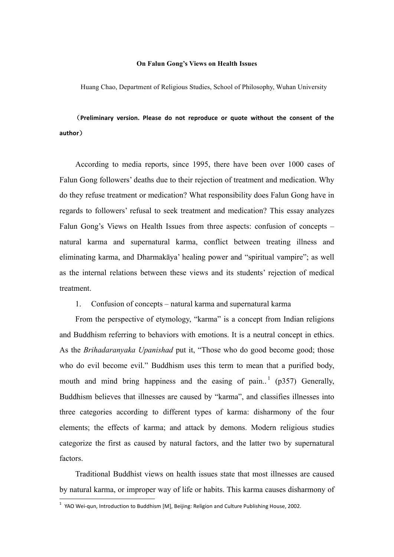## **On Falun Gong's Views on Health Issues**

Huang Chao, Department of Religious Studies, School of Philosophy, Wuhan University

(Preliminary version. Please do not reproduce or quote without the consent of the **author**)

According to media reports, since 1995, there have been over 1000 cases of Falun Gong followers' deaths due to their rejection of treatment and medication. Why do they refuse treatment or medication? What responsibility does Falun Gong have in regards to followers' refusal to seek treatment and medication? This essay analyzes Falun Gong's Views on Health Issues from three aspects: confusion of concepts – natural karma and supernatural karma, conflict between treating illness and eliminating karma, and Dharmakāya' healing power and "spiritual vampire"; as well as the internal relations between these views and its students' rejection of medical treatment.

## 1. Confusion of concepts – natural karma and supernatural karma

From the perspective of etymology, "karma" is a concept from Indian religions and Buddhism referring to behaviors with emotions. It is a neutral concept in ethics. As the *Brihadaranyaka Upanishad* put it, "Those who do good become good; those who do evil become evil." Buddhism uses this term to mean that a purified body, mouth and mind bring happiness and the easing of pain.<sup>1</sup> (p357) Generally, Buddhism believes that illnesses are caused by "karma", and classifies illnesses into three categories according to different types of karma: disharmony of the four elements; the effects of karma; and attack by demons. Modern religious studies categorize the first as caused by natural factors, and the latter two by supernatural factors.

Traditional Buddhist views on health issues state that most illnesses are caused by natural karma, or improper way of life or habits. This karma causes disharmony of

<sup>&</sup>lt;sup>1</sup> YAO Wei-qun, Introduction to Buddhism [M], Beijing: Religion and Culture Publishing House, 2002.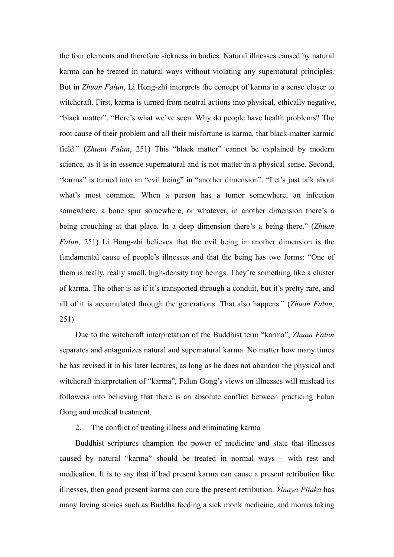the four elements and therefore sickness in bodies. Natural illnesses caused by natural karma can be treated in natural ways without violating any supernatural principles. But in *Zhuan Falun*, Li Hong-zhi interprets the concept of karma in a sense closer to witchcraft. First, karma is turned from neutral actions into physical, ethically negative, "black matter". "Here's what we've seen. Why do people have health problems? The root cause of their problem and all their misfortune is karma, that black-matter karmic field." (*Zhuan Falun*, 251) This "black matter" cannot be explained by modern science, as it is in essence supernatural and is not matter in a physical sense. Second, "karma" is turned into an "evil being" in "another dimension". "Let's just talk about what's most common. When a person has a tumor somewhere, an infection somewhere, a bone spur somewhere, or whatever, in another dimension there's a being crouching at that place. In a deep dimension there's a being there." (*Zhuan Falun*, 251) Li Hong-zhi believes that the evil being in another dimension is the fundamental cause of people's illnesses and that the being has two forms: "One of them is really, really small, high-density tiny beings. They're something like a cluster of karma. The other is as if it's transported through a conduit, but it's pretty rare, and all of it is accumulated through the generations. That also happens." (*Zhuan Falun*, 251)

Due to the witchcraft interpretation of the Buddhist term "karma", *Zhuan Falun* separates and antagonizes natural and supernatural karma. No matter how many times he has revised it in his later lectures, as long as he does not abandon the physical and witchcraft interpretation of "karma", Falun Gong's views on illnesses will mislead its followers into believing that there is an absolute conflict between practicing Falun Gong and medical treatment.

## 2. The conflict of treating illness and eliminating karma

Buddhist scriptures champion the power of medicine and state that illnesses caused by natural "karma" should be treated in normal ways – with rest and medication. It is to say that if bad present karma can cause a present retribution like illnesses, then good present karma can cure the present retribution. *Vinaya Pitaka* has many loving stories such as Buddha feeding a sick monk medicine, and monks taking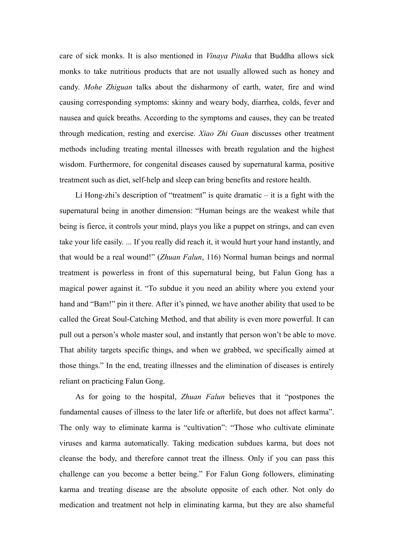care of sick monks. It is also mentioned in *Vinaya Pitaka* that Buddha allows sick monks to take nutritious products that are not usually allowed such as honey and candy. *Mohe Zhiguan* talks about the disharmony of earth, water, fire and wind causing corresponding symptoms: skinny and weary body, diarrhea, colds, fever and nausea and quick breaths. According to the symptoms and causes, they can be treated through medication, resting and exercise. *Xiao Zhi Guan* discusses other treatment methods including treating mental illnesses with breath regulation and the highest wisdom. Furthermore, for congenital diseases caused by supernatural karma, positive treatment such as diet, self-help and sleep can bring benefits and restore health.

Li Hong-zhi's description of "treatment" is quite dramatic – it is a fight with the supernatural being in another dimension: "Human beings are the weakest while that being is fierce, it controls your mind, plays you like a puppet on strings, and can even take your life easily. ... If you really did reach it, it would hurt your hand instantly, and that would be a real wound!" (*Zhuan Falun*, 116) Normal human beings and normal treatment is powerless in front of this supernatural being, but Falun Gong has a magical power against it. "To subdue it you need an ability where you extend your hand and "Bam!" pin it there. After it's pinned, we have another ability that used to be called the Great Soul-Catching Method, and that ability is even more powerful. It can pull out a person's whole master soul, and instantly that person won't be able to move. That ability targets specific things, and when we grabbed, we specifically aimed at those things." In the end, treating illnesses and the elimination of diseases is entirely reliant on practicing Falun Gong.

As for going to the hospital, *Zhuan Falun* believes that it "postpones the fundamental causes of illness to the later life or afterlife, but does not affect karma". The only way to eliminate karma is "cultivation": "Those who cultivate eliminate viruses and karma automatically. Taking medication subdues karma, but does not cleanse the body, and therefore cannot treat the illness. Only if you can pass this challenge can you become a better being." For Falun Gong followers, eliminating karma and treating disease are the absolute opposite of each other. Not only do medication and treatment not help in eliminating karma, but they are also shameful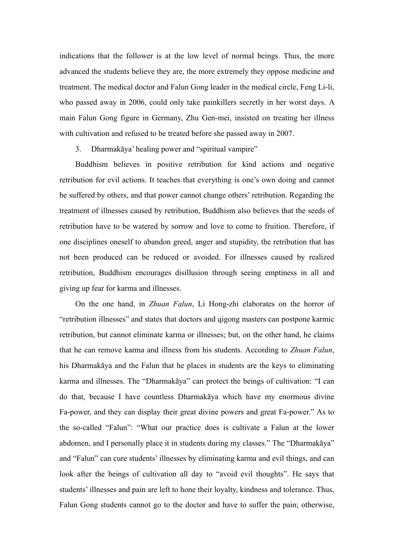indications that the follower is at the low level of normal beings. Thus, the more advanced the students believe they are, the more extremely they oppose medicine and treatment. The medical doctor and Falun Gong leader in the medical circle, Feng Li-li, who passed away in 2006, could only take painkillers secretly in her worst days. A main Falun Gong figure in Germany, Zhu Gen-mei, insisted on treating her illness with cultivation and refused to be treated before she passed away in 2007.

3. Dharmakāya' healing power and "spiritual vampire"

Buddhism believes in positive retribution for kind actions and negative retribution for evil actions. It teaches that everything is one's own doing and cannot be suffered by others, and that power cannot change others' retribution. Regarding the treatment of illnesses caused by retribution, Buddhism also believes that the seeds of retribution have to be watered by sorrow and love to come to fruition. Therefore, if one disciplines oneself to abandon greed, anger and stupidity, the retribution that has not been produced can be reduced or avoided. For illnesses caused by realized retribution, Buddhism encourages disillusion through seeing emptiness in all and giving up fear for karma and illnesses.

On the one hand, in *Zhuan Falun*, Li Hong-zhi elaborates on the horror of "retribution illnesses" and states that doctors and qigong masters can postpone karmic retribution, but cannot eliminate karma or illnesses; but, on the other hand, he claims that he can remove karma and illness from his students. According to *Zhuan Falun*, his Dharmakāya and the Falun that he places in students are the keys to eliminating karma and illnesses. The "Dharmakāya" can protect the beings of cultivation: "I can do that, because I have countless Dharmakāya which have my enormous divine Fa-power, and they can display their great divine powers and great Fa-power." As to the so-called "Falun": "What our practice does is cultivate a Falun at the lower abdomen, and I personally place it in students during my classes." The "Dharmakāya" and "Falun" can cure students' illnesses by eliminating karma and evil things, and can look after the beings of cultivation all day to "avoid evil thoughts". He says that students' illnesses and pain are left to hone their loyalty, kindness and tolerance. Thus, Falun Gong students cannot go to the doctor and have to suffer the pain; otherwise,